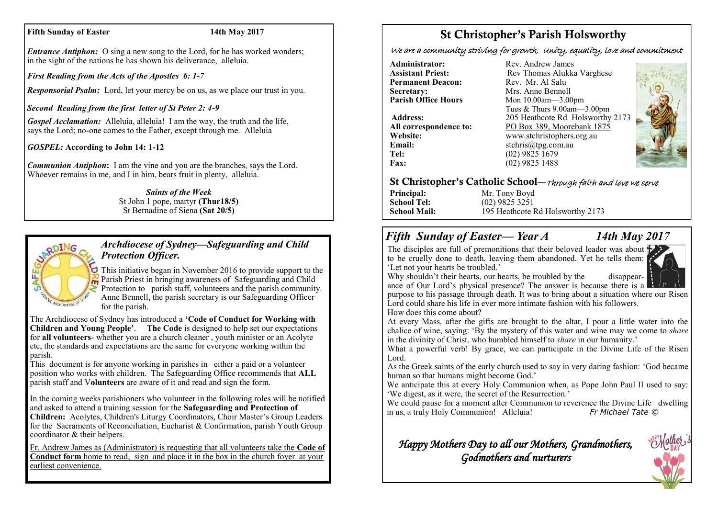#### **Fifth Sunday of Easter 14th May 2017**

*Entrance Antiphon:* O sing a new song to the Lord, for he has worked wonders; in the sight of the nations he has shown his deliverance, alleluia.

*First Reading from the Acts of the Apostles 6: 1-7*

*Responsorial Psalm:* Lord, let your mercy be on us, as we place our trust in you.

*Second Reading from the first letter of St Peter 2: 4-9*

*Gospel Acclamation:* Alleluia, alleluia! I am the way, the truth and the life, says the Lord; no-one comes to the Father, except through me. Alleluia

*GOSPEL:* **According to John 14: 1-12**

*Communion Antiphon***:** I am the vine and you are the branches, says the Lord. Whoever remains in me, and I in him, bears fruit in plenty, alleluia.

#### *Saints of the Week* St John 1 pope, martyr **(Thur18/5)**  St Bernadine of Siena **(Sat 20/5)**



# *Archdiocese of Sydney—Safeguarding and Child Protection Officer.*

This initiative began in November 2016 to provide support to the Parish Priest in bringing awareness of Safeguarding and Child Protection to parish staff, volunteers and the parish community. Anne Bennell, the parish secretary is our Safeguarding Officer for the parish.

The Archdiocese of Sydney has introduced a **'Code of Conduct for Working with Children and Young People'**. **The Code** is designed to help set our expectations for **all volunteers**- whether you are a church cleaner , youth minister or an Acolyte etc, the standards and expectations are the same for everyone working within the parish.

This document is for anyone working in parishes in either a paid or a volunteer position who works with children. The Safeguarding Office recommends that **ALL**  parish staff and V**olunteers** are aware of it and read and sign the form.

In the coming weeks parishioners who volunteer in the following roles will be notified and asked to attend a training session for the **Safeguarding and Protection of Children:** Acolytes, Children's Liturgy Coordinators, Choir Master's Group Leaders for the Sacraments of Reconciliation, Eucharist & Confirmation, parish Youth Group coordinator & their helpers.

Fr. Andrew James as (Administrator) is requesting that all volunteers take the **Code of Conduct form** home to read, sign and place it in the box in the church foyer at your earliest convenience.

# St Christopher's Parish Holsworthy

We are a community striving for growth, Unity, equality, love and commitment

**Administrator:** Rev. Andrew James<br> **Assistant Priest:** Rev. Thomas Alukka **Permanent Deacon:**<br>Secretary: **Secretary:** Mrs. Anne Bennell<br> **Parish Office Hours** Mon 10.00am - 3.00

**Email:** stchris@tpg.com.au<br> **Tel:** (02) 9825 1679 **Fax:** (02) 9825 1488

**Rev Thomas Alukka Varghese**<br>Rev Mr Al Salu **Mon 10.00am—3.00pm** Tues & Thurs 9.00am—3.00pm **Address:** 205 Heathcote Rd Holsworthy 2173 **All correspondence to:** PO Box 389, Moorebank 1875 **Website:** www.stchristophers.org.au<br> **Email:** stchris@tng.com au **Tel:** (02) 9825 1679



## St Christopher's Catholic School—Through faith and love we serve

**Principal:** Mr. Tony Boyd **School Tel:** (02) 9825 3251 **School Mail:** 195 Heathcote Rd Holsworthy 2173

# *Fifth Sunday of Easter— Year A 14th May 2017*

The disciples are full of premonitions that their beloved leader was about  $\mathbf F$ to be cruelly done to death, leaving them abandoned. Yet he tells them: 'Let not your hearts be troubled.'





ance of Our Lord's physical presence? The answer is because there is a purpose to his passage through death. It was to bring about a situation where our Risen Lord could share his life in ever more intimate fashion with his followers.

How does this come about?

At every Mass, after the gifts are brought to the altar, I pour a little water into the chalice of wine, saying: 'By the mystery of this water and wine may we come to *share* in the divinity of Christ, who humbled himself to *share* in our humanity.'

What a powerful verb! By grace, we can participate in the Divine Life of the Risen Lord.

As the Greek saints of the early church used to say in very daring fashion: 'God became human so that humans might become God.'

We anticipate this at every Holy Communion when, as Pope John Paul II used to say: 'We digest, as it were, the secret of the Resurrection.'

We could pause for a moment after Communion to reverence the Divine Life dwelling<br>in us a truly Holy Communion! Alleluia!<br> $F_r$  Michael Tate  $\odot$ in us, a truly Holy Communion! Alleluia!

# *Happy Mothers Day to all our Mothers, Grandmothers, Godmothers and nurturers*